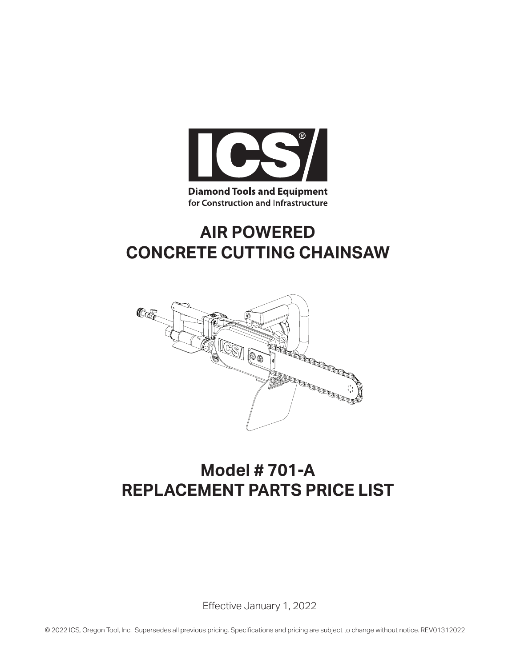

## **AIR POWERED CONCRETE CUTTING CHAINSAW**



## **Model # 701-A REPLACEMENT PARTS PRICE LIST**

Effective January 1, 2022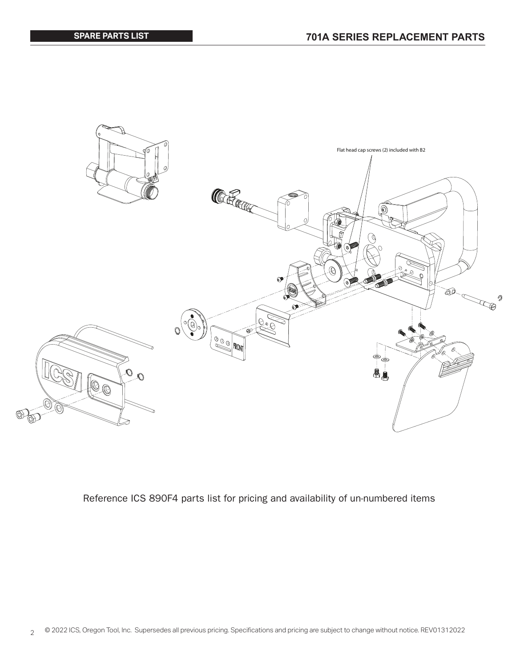

Reference ICS 890F4 parts list for pricing and availability of un-numbered items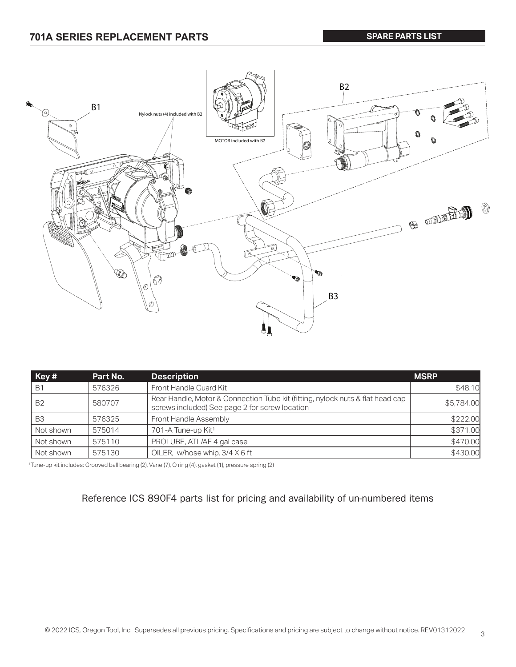

| Key#           | Part No. | <b>Description</b>                                                                                                               | <b>MSRP</b> |
|----------------|----------|----------------------------------------------------------------------------------------------------------------------------------|-------------|
| <b>B1</b>      | 576326   | Front Handle Guard Kit                                                                                                           | \$48.10     |
| <b>B2</b>      | 580707   | Rear Handle, Motor & Connection Tube kit (fitting, nylock nuts & flat head cap<br>screws included) See page 2 for screw location | \$5,784.00  |
| B <sub>3</sub> | 576325   | Front Handle Assembly                                                                                                            | \$222.00    |
| Not shown      | 575014   | 701-A Tune-up Kit <sup>1</sup>                                                                                                   | \$371.00    |
| Not shown      | 575110   | PROLUBE, ATL/AF 4 gal case                                                                                                       | \$470.00    |
| Not shown      | 575130   | OILER, w/hose whip, 3/4 X 6 ft                                                                                                   | \$430.00    |

1Tune-up kit includes: Grooved ball bearing (2), Vane (7), O ring (4), gasket (1), pressure spring (2)

## Reference ICS 890F4 parts list for pricing and availability of un-numbered items